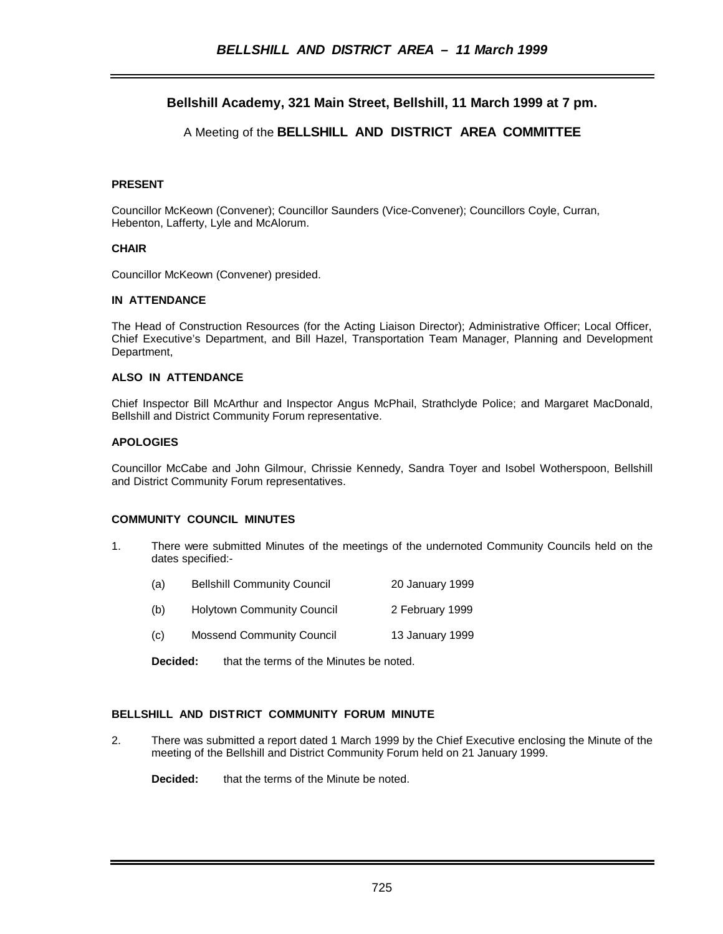# **Bellshill Academy, 321 Main Street, Bellshill, 11 March 1999 at 7 pm.**

# A Meeting of the **BELLSHILL AND DISTRICT AREA COMMITTEE**

# **PRESENT**

Councillor McKeown (Convener); Councillor Saunders (Vice-Convener); Councillors Coyle, Curran, Hebenton, Lafferty, Lyle and McAlorum.

#### **CHAIR**

Councillor McKeown (Convener) presided.

#### **IN ATTENDANCE**

The Head of Construction Resources (for the Acting Liaison Director); Administrative Officer; Local Officer, Chief Executive's Department, and Bill Hazel, Transportation Team Manager, Planning and Development Department,

#### **ALSO IN ATTENDANCE**

Chief Inspector Bill McArthur and Inspector Angus McPhail, Strathclyde Police; and Margaret MacDonald, Bellshill and District Community Forum representative.

# **APOLOGIES**

Councillor McCabe and John Gilmour, Chrissie Kennedy, Sandra Toyer and Isobel Wotherspoon, Bellshill and District Community Forum representatives.

#### **COMMUNITY COUNCIL MINUTES**

- 1. There were submitted Minutes of the meetings of the undernoted Community Councils held on the dates specified:-
	- (a) Bellshill Community Council 20 January 1999
	- (b) Holytown Community Council 2 February 1999
	- (c) Mossend Community Council 13 January 1999

**Decided:** that the terms of the Minutes be noted.

### **BELLSHILL AND DISTRICT COMMUNITY FORUM MINUTE**

2. There was submitted a report dated 1 March 1999 by the Chief Executive enclosing the Minute of the meeting of the Bellshill and District Community Forum held on 21 January 1999.

**Decided:** that the terms of the Minute be noted.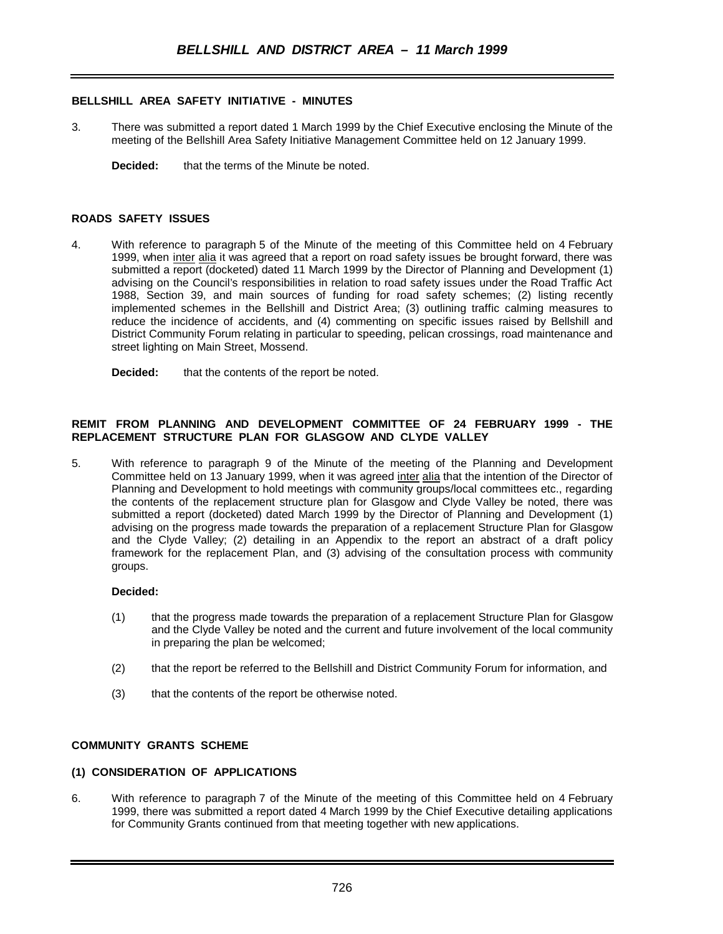### **BELLSHILL AREA SAFETY INITIATIVE - MINUTES**

- 3. There was submitted a report dated 1 March 1999 by the Chief Executive enclosing the Minute of the meeting of the Bellshill Area Safety Initiative Management Committee held on 12 January 1999.
	- **Decided:** that the terms of the Minute be noted.

# **ROADS SAFETY ISSUES**

- 4. With reference to paragraph 5 of the Minute of the meeting of this Committee held on 4 February 1999, when inter alia it was agreed that a report on road safety issues be brought forward, there was submitted a report (docketed) dated 11 March 1999 by the Director of Planning and Development (1) advising on the Council's responsibilities in relation to road safety issues under the Road Traffic Act 1988, Section 39, and main sources of funding for road safety schemes; (2) listing recently implemented schemes in the Bellshill and District Area; (3) outlining traffic calming measures to reduce the incidence of accidents, and (4) commenting on specific issues raised by Bellshill and District Community Forum relating in particular to speeding, pelican crossings, road maintenance and street lighting on Main Street, Mossend.
	- **Decided:** that the contents of the report be noted.

# **REMIT FROM PLANNING AND DEVELOPMENT COMMITTEE OF 24 FEBRUARY 1999 - THE REPLACEMENT STRUCTURE PLAN FOR GLASGOW AND CLYDE VALLEY**

5. With reference to paragraph 9 of the Minute of the meeting of the Planning and Development Committee held on 13 January 1999, when it was agreed inter alia that the intention of the Director of Planning and Development to hold meetings with community groups/local committees etc., regarding the contents of the replacement structure plan for Glasgow and Clyde Valley be noted, there was submitted a report (docketed) dated March 1999 by the Director of Planning and Development (1) advising on the progress made towards the preparation of a replacement Structure Plan for Glasgow and the Clyde Valley; (2) detailing in an Appendix to the report an abstract of a draft policy framework for the replacement Plan, and (3) advising of the consultation process with community groups.

#### **Decided:**

- (1) that the progress made towards the preparation of a replacement Structure Plan for Glasgow and the Clyde Valley be noted and the current and future involvement of the local community in preparing the plan be welcomed;
- (2) that the report be referred to the Bellshill and District Community Forum for information, and
- (3) that the contents of the report be otherwise noted.

#### **COMMUNITY GRANTS SCHEME**

#### **(1) CONSIDERATION OF APPLICATIONS**

6. With reference to paragraph 7 of the Minute of the meeting of this Committee held on 4 February 1999, there was submitted a report dated 4 March 1999 by the Chief Executive detailing applications for Community Grants continued from that meeting together with new applications.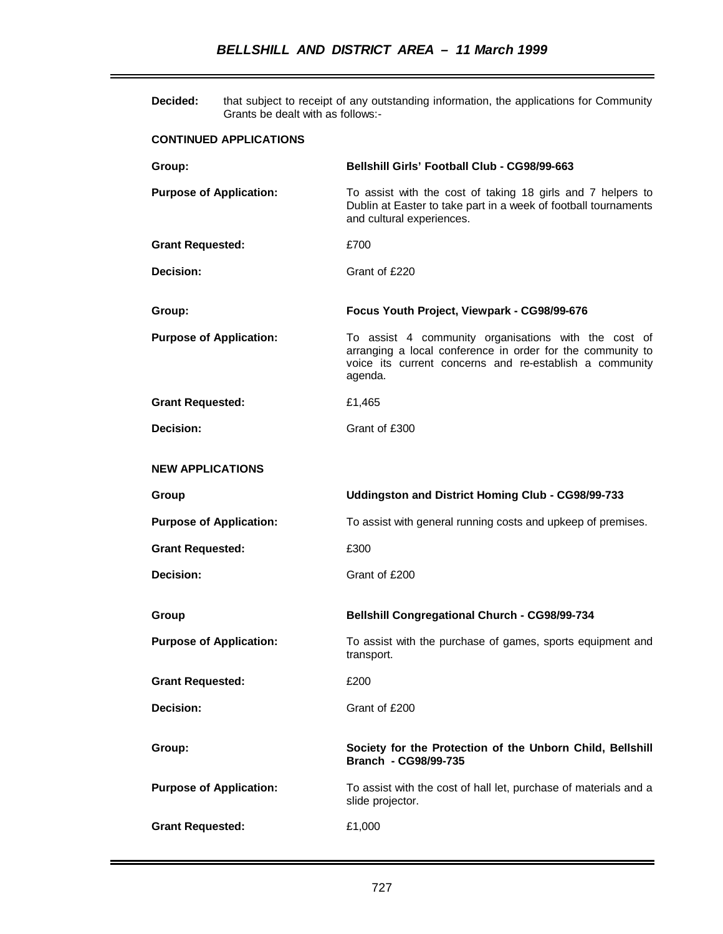| Decided: | that subject to receipt of any outstanding information, the applications for Community |
|----------|----------------------------------------------------------------------------------------|
|          | Grants be dealt with as follows:-                                                      |

# **CONTINUED APPLICATIONS**

| Group:                         | Bellshill Girls' Football Club - CG98/99-663                                                                                                                                             |
|--------------------------------|------------------------------------------------------------------------------------------------------------------------------------------------------------------------------------------|
| <b>Purpose of Application:</b> | To assist with the cost of taking 18 girls and 7 helpers to<br>Dublin at Easter to take part in a week of football tournaments<br>and cultural experiences.                              |
| <b>Grant Requested:</b>        | £700                                                                                                                                                                                     |
| Decision:                      | Grant of £220                                                                                                                                                                            |
| Group:                         | Focus Youth Project, Viewpark - CG98/99-676                                                                                                                                              |
| <b>Purpose of Application:</b> | To assist 4 community organisations with the cost of<br>arranging a local conference in order for the community to<br>voice its current concerns and re-establish a community<br>agenda. |
| <b>Grant Requested:</b>        | £1,465                                                                                                                                                                                   |
| Decision:                      | Grant of £300                                                                                                                                                                            |
| <b>NEW APPLICATIONS</b>        |                                                                                                                                                                                          |
| Group                          | Uddingston and District Homing Club - CG98/99-733                                                                                                                                        |
| <b>Purpose of Application:</b> | To assist with general running costs and upkeep of premises.                                                                                                                             |
| <b>Grant Requested:</b>        | £300                                                                                                                                                                                     |
| Decision:                      | Grant of £200                                                                                                                                                                            |
| Group                          | <b>Bellshill Congregational Church - CG98/99-734</b>                                                                                                                                     |
| <b>Purpose of Application:</b> | To assist with the purchase of games, sports equipment and<br>transport.                                                                                                                 |
| <b>Grant Requested:</b>        | £200                                                                                                                                                                                     |
| Decision:                      | Grant of £200                                                                                                                                                                            |
| Group:                         | Society for the Protection of the Unborn Child, Bellshill<br>Branch - CG98/99-735                                                                                                        |
| <b>Purpose of Application:</b> | To assist with the cost of hall let, purchase of materials and a<br>slide projector.                                                                                                     |
| <b>Grant Requested:</b>        | £1,000                                                                                                                                                                                   |

-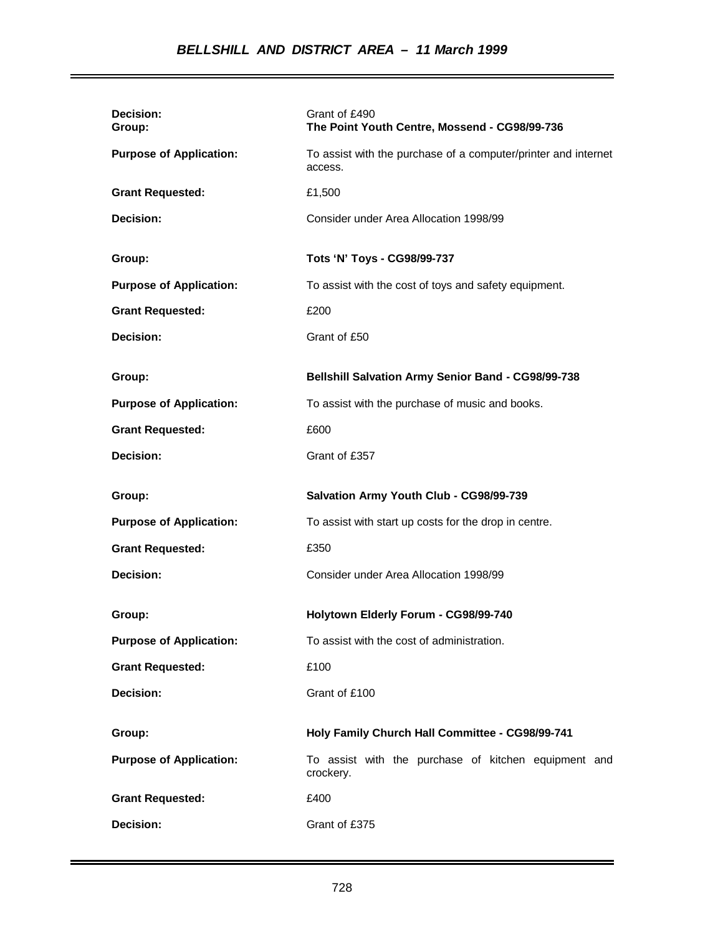| Decision:<br>Group:            | Grant of £490<br>The Point Youth Centre, Mossend - CG98/99-736            |
|--------------------------------|---------------------------------------------------------------------------|
| <b>Purpose of Application:</b> | To assist with the purchase of a computer/printer and internet<br>access. |
| <b>Grant Requested:</b>        | £1,500                                                                    |
| Decision:                      | Consider under Area Allocation 1998/99                                    |
| Group:                         | Tots 'N' Toys - CG98/99-737                                               |
| <b>Purpose of Application:</b> | To assist with the cost of toys and safety equipment.                     |
| <b>Grant Requested:</b>        | £200                                                                      |
| Decision:                      | Grant of £50                                                              |
| Group:                         | Bellshill Salvation Army Senior Band - CG98/99-738                        |
| <b>Purpose of Application:</b> | To assist with the purchase of music and books.                           |
| <b>Grant Requested:</b>        | £600                                                                      |
| Decision:                      | Grant of £357                                                             |
|                                |                                                                           |
| Group:                         | Salvation Army Youth Club - CG98/99-739                                   |
| <b>Purpose of Application:</b> | To assist with start up costs for the drop in centre.                     |
| <b>Grant Requested:</b>        | £350                                                                      |
| Decision:                      | Consider under Area Allocation 1998/99                                    |
| Group:                         | Holytown Elderly Forum - CG98/99-740                                      |
| <b>Purpose of Application:</b> | To assist with the cost of administration.                                |
| <b>Grant Requested:</b>        | £100                                                                      |
| Decision:                      | Grant of £100                                                             |
| Group:                         | Holy Family Church Hall Committee - CG98/99-741                           |
| <b>Purpose of Application:</b> | To assist with the purchase of kitchen equipment and<br>crockery.         |
| <b>Grant Requested:</b>        | £400                                                                      |

÷.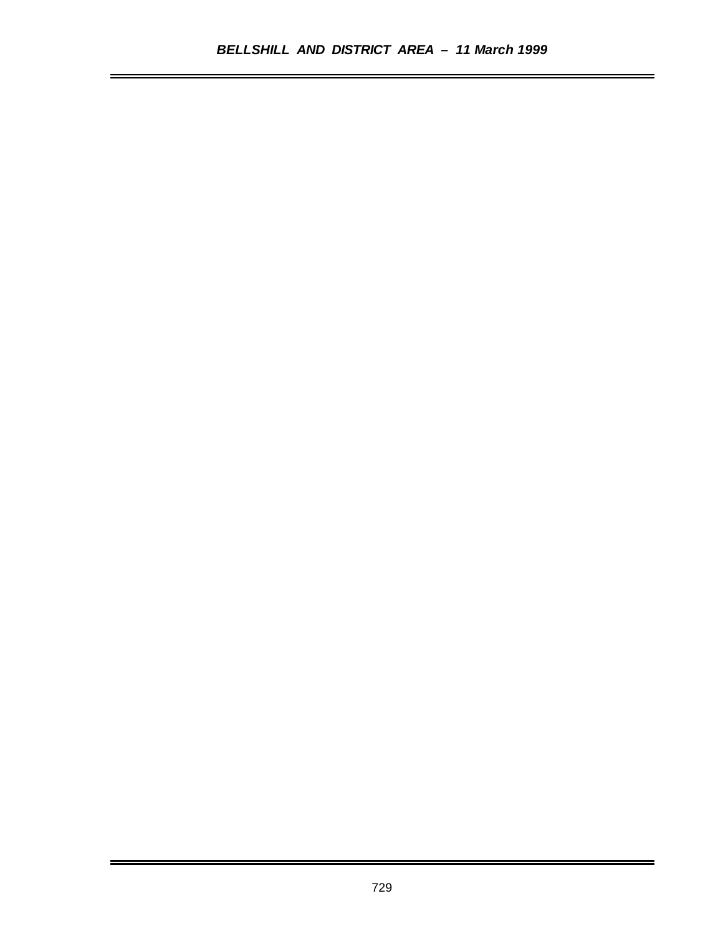í.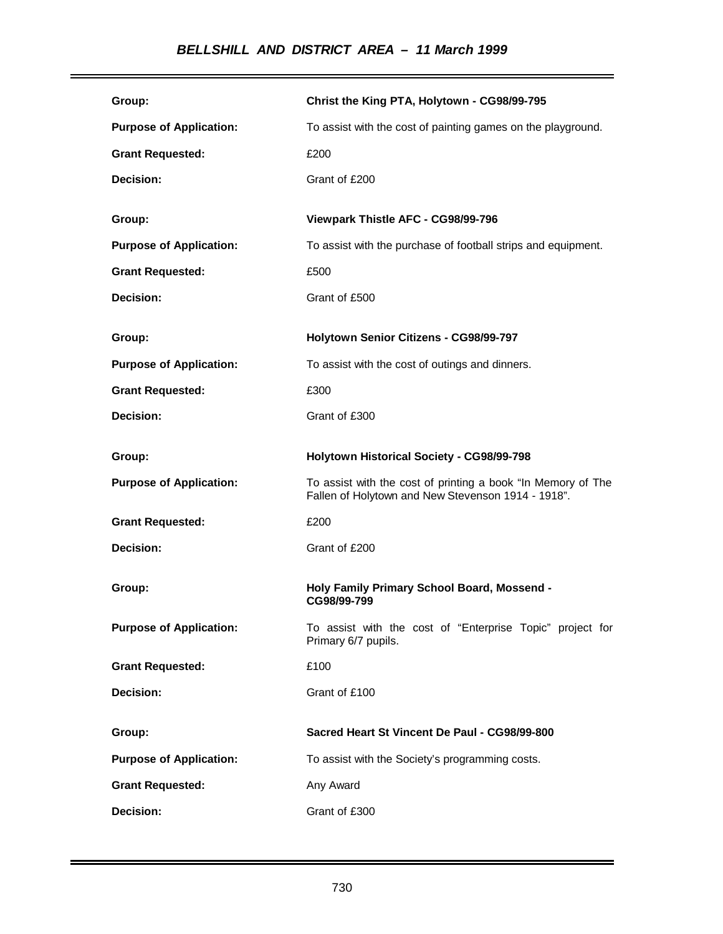| Group:                         | Christ the King PTA, Holytown - CG98/99-795                                                                        |
|--------------------------------|--------------------------------------------------------------------------------------------------------------------|
| <b>Purpose of Application:</b> | To assist with the cost of painting games on the playground.                                                       |
| <b>Grant Requested:</b>        | £200                                                                                                               |
| Decision:                      | Grant of £200                                                                                                      |
| Group:                         | Viewpark Thistle AFC - CG98/99-796                                                                                 |
|                                |                                                                                                                    |
| <b>Purpose of Application:</b> | To assist with the purchase of football strips and equipment.                                                      |
| <b>Grant Requested:</b>        | £500                                                                                                               |
| Decision:                      | Grant of £500                                                                                                      |
| Group:                         | Holytown Senior Citizens - CG98/99-797                                                                             |
| <b>Purpose of Application:</b> | To assist with the cost of outings and dinners.                                                                    |
| <b>Grant Requested:</b>        | £300                                                                                                               |
| Decision:                      | Grant of £300                                                                                                      |
|                                |                                                                                                                    |
| Group:                         | Holytown Historical Society - CG98/99-798                                                                          |
| <b>Purpose of Application:</b> | To assist with the cost of printing a book "In Memory of The<br>Fallen of Holytown and New Stevenson 1914 - 1918". |
| <b>Grant Requested:</b>        | £200                                                                                                               |
| Decision:                      | Grant of £200                                                                                                      |
| Group:                         |                                                                                                                    |
|                                | Holy Family Primary School Board, Mossend -<br>CG98/99-799                                                         |
| <b>Purpose of Application:</b> | To assist with the cost of "Enterprise Topic" project for<br>Primary 6/7 pupils.                                   |
| <b>Grant Requested:</b>        | £100                                                                                                               |
| Decision:                      | Grant of £100                                                                                                      |
| Group:                         | Sacred Heart St Vincent De Paul - CG98/99-800                                                                      |
| <b>Purpose of Application:</b> | To assist with the Society's programming costs.                                                                    |
| <b>Grant Requested:</b>        | Any Award                                                                                                          |

÷.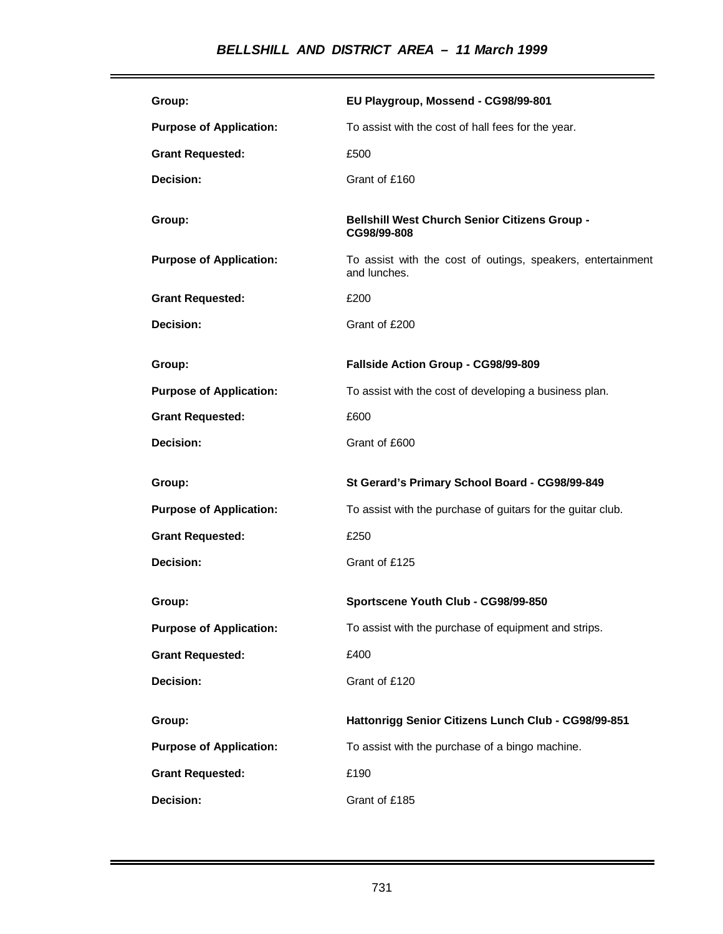| Group:                         | EU Playgroup, Mossend - CG98/99-801                                         |
|--------------------------------|-----------------------------------------------------------------------------|
| <b>Purpose of Application:</b> | To assist with the cost of hall fees for the year.                          |
| <b>Grant Requested:</b>        | £500                                                                        |
| Decision:                      | Grant of £160                                                               |
| Group:                         | <b>Bellshill West Church Senior Citizens Group -</b><br>CG98/99-808         |
| <b>Purpose of Application:</b> | To assist with the cost of outings, speakers, entertainment<br>and lunches. |
| <b>Grant Requested:</b>        | £200                                                                        |
| Decision:                      | Grant of £200                                                               |
| Group:                         | Fallside Action Group - CG98/99-809                                         |
| <b>Purpose of Application:</b> | To assist with the cost of developing a business plan.                      |
| <b>Grant Requested:</b>        | £600                                                                        |
| Decision:                      | Grant of £600                                                               |
| Group:                         | St Gerard's Primary School Board - CG98/99-849                              |
| <b>Purpose of Application:</b> | To assist with the purchase of guitars for the guitar club.                 |
| <b>Grant Requested:</b>        | £250                                                                        |
| Decision:                      | Grant of £125                                                               |
| Group:                         | Sportscene Youth Club - CG98/99-850                                         |
| <b>Purpose of Application:</b> | To assist with the purchase of equipment and strips.                        |
| <b>Grant Requested:</b>        | £400                                                                        |
| <b>Decision:</b>               | Grant of £120                                                               |
| Group:                         | Hattonrigg Senior Citizens Lunch Club - CG98/99-851                         |
| <b>Purpose of Application:</b> | To assist with the purchase of a bingo machine.                             |
| <b>Grant Requested:</b>        | £190                                                                        |
| <b>Decision:</b>               | Grant of £185                                                               |

ī.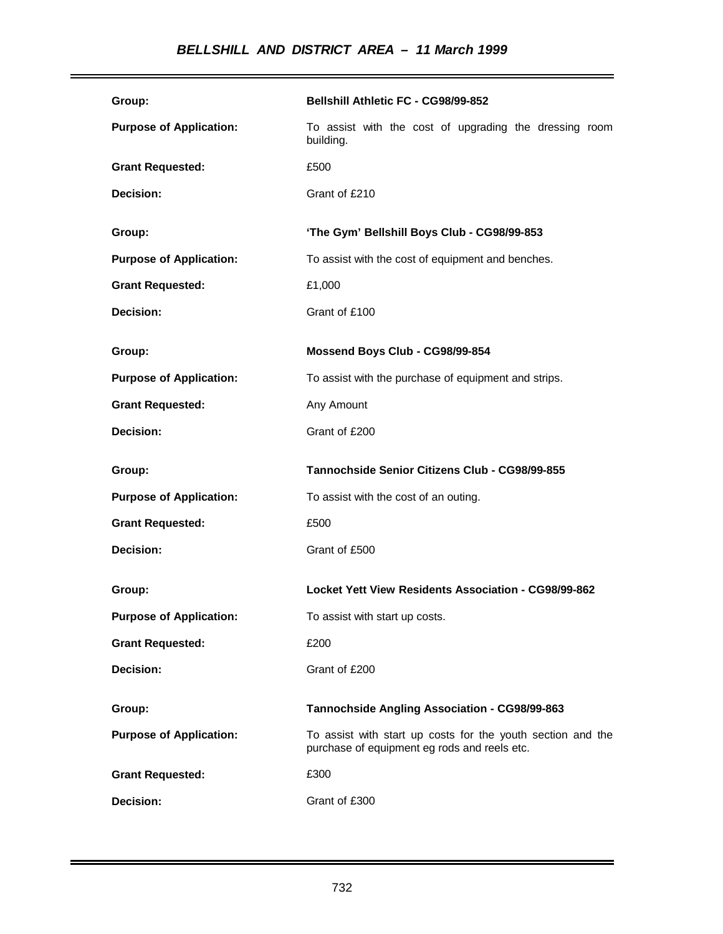| Group:                         | Bellshill Athletic FC - CG98/99-852                                                                         |
|--------------------------------|-------------------------------------------------------------------------------------------------------------|
| <b>Purpose of Application:</b> | To assist with the cost of upgrading the dressing room<br>building.                                         |
| <b>Grant Requested:</b>        | £500                                                                                                        |
| Decision:                      | Grant of £210                                                                                               |
| Group:                         | 'The Gym' Bellshill Boys Club - CG98/99-853                                                                 |
| <b>Purpose of Application:</b> | To assist with the cost of equipment and benches.                                                           |
| <b>Grant Requested:</b>        | £1,000                                                                                                      |
| Decision:                      | Grant of £100                                                                                               |
| Group:                         | Mossend Boys Club - CG98/99-854                                                                             |
| <b>Purpose of Application:</b> | To assist with the purchase of equipment and strips.                                                        |
| <b>Grant Requested:</b>        | Any Amount                                                                                                  |
| Decision:                      | Grant of £200                                                                                               |
|                                |                                                                                                             |
| Group:                         | Tannochside Senior Citizens Club - CG98/99-855                                                              |
| <b>Purpose of Application:</b> | To assist with the cost of an outing.                                                                       |
| <b>Grant Requested:</b>        | £500                                                                                                        |
| Decision:                      | Grant of £500                                                                                               |
| Group:                         | Locket Yett View Residents Association - CG98/99-862                                                        |
| <b>Purpose of Application:</b> | To assist with start up costs.                                                                              |
| <b>Grant Requested:</b>        | £200                                                                                                        |
| Decision:                      | Grant of £200                                                                                               |
| Group:                         | Tannochside Angling Association - CG98/99-863                                                               |
| <b>Purpose of Application:</b> | To assist with start up costs for the youth section and the<br>purchase of equipment eg rods and reels etc. |
| <b>Grant Requested:</b>        | £300                                                                                                        |

÷.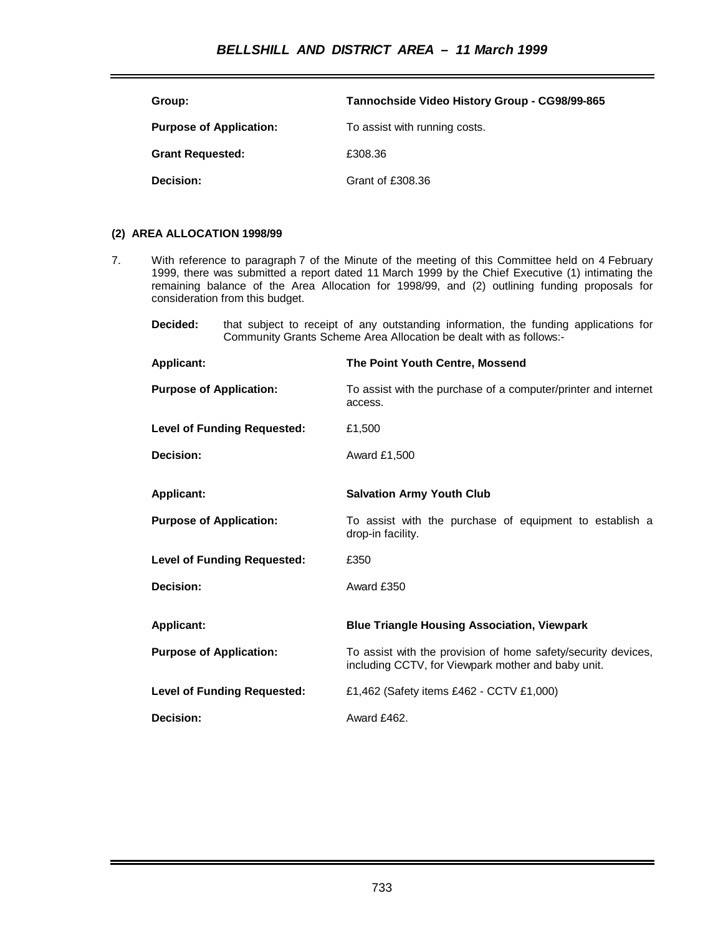| Group:                         | Tannochside Video History Group - CG98/99-865 |
|--------------------------------|-----------------------------------------------|
| <b>Purpose of Application:</b> | To assist with running costs.                 |
| <b>Grant Requested:</b>        | £308.36                                       |
| Decision:                      | Grant of £308.36                              |

# **(2) AREA ALLOCATION 1998/99**

- 7. With reference to paragraph 7 of the Minute of the meeting of this Committee held on 4 February 1999, there was submitted a report dated 11 March 1999 by the Chief Executive (1) intimating the remaining balance of the Area Allocation for 1998/99, and (2) outlining funding proposals for consideration from this budget.
	- **Decided:** that subject to receipt of any outstanding information, the funding applications for Community Grants Scheme Area Allocation be dealt with as follows:-

| <b>Applicant:</b>                  | The Point Youth Centre, Mossend                                                                                     |
|------------------------------------|---------------------------------------------------------------------------------------------------------------------|
| <b>Purpose of Application:</b>     | To assist with the purchase of a computer/printer and internet<br>access.                                           |
| <b>Level of Funding Requested:</b> | £1,500                                                                                                              |
| Decision:                          | Award £1,500                                                                                                        |
| <b>Applicant:</b>                  | <b>Salvation Army Youth Club</b>                                                                                    |
| <b>Purpose of Application:</b>     | To assist with the purchase of equipment to establish a<br>drop-in facility.                                        |
| <b>Level of Funding Requested:</b> | £350                                                                                                                |
| Decision:                          | Award £350                                                                                                          |
| <b>Applicant:</b>                  | <b>Blue Triangle Housing Association, Viewpark</b>                                                                  |
| <b>Purpose of Application:</b>     | To assist with the provision of home safety/security devices,<br>including CCTV, for Viewpark mother and baby unit. |
| <b>Level of Funding Requested:</b> | £1,462 (Safety items £462 - CCTV £1,000)                                                                            |
| Decision:                          | Award £462.                                                                                                         |